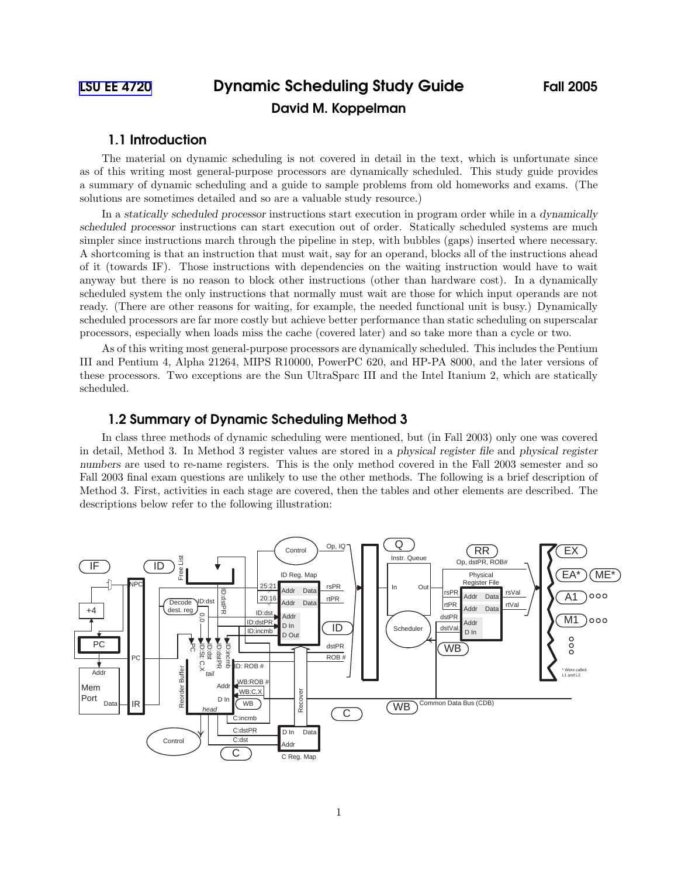# 1.1 Introduction

The material on dynamic scheduling is not covered in detail in the text, which is unfortunate since as of this writing most general-purpose processors are dynamically scheduled. This study guide provides a summary of dynamic scheduling and a guide to sample problems from old homeworks and exams. (The solutions are sometimes detailed and so are a valuable study resource.)

In a statically scheduled processor instructions start execution in program order while in a dynamically scheduled processor instructions can start execution out of order. Statically scheduled systems are much simpler since instructions march through the pipeline in step, with bubbles (gaps) inserted where necessary. A shortcoming is that an instruction that must wait, say for an operand, blocks all of the instructions ahead of it (towards IF). Those instructions with dependencies on the waiting instruction would have to wait anyway but there is no reason to block other instructions (other than hardware cost). In a dynamically scheduled system the only instructions that normally must wait are those for which input operands are not ready. (There are other reasons for waiting, for example, the needed functional unit is busy.) Dynamically scheduled processors are far more costly but achieve better performance than static scheduling on superscalar processors, especially when loads miss the cache (covered later) and so take more than a cycle or two.

As of this writing most general-purpose processors are dynamically scheduled. This includes the Pentium III and Pentium 4, Alpha 21264, MIPS R10000, PowerPC 620, and HP-PA 8000, and the later versions of these processors. Two exceptions are the Sun UltraSparc III and the Intel Itanium 2, which are statically scheduled.

# 1.2 Summary of Dynamic Scheduling Method 3

In class three methods of dynamic scheduling were mentioned, but (in Fall 2003) only one was covered in detail, Method 3. In Method 3 register values are stored in a physical register file and physical register numbers are used to re-name registers. This is the only method covered in the Fall 2003 semester and so Fall 2003 final exam questions are unlikely to use the other methods. The following is a brief description of Method 3. First, activities in each stage are covered, then the tables and other elements are described. The descriptions below refer to the following illustration:

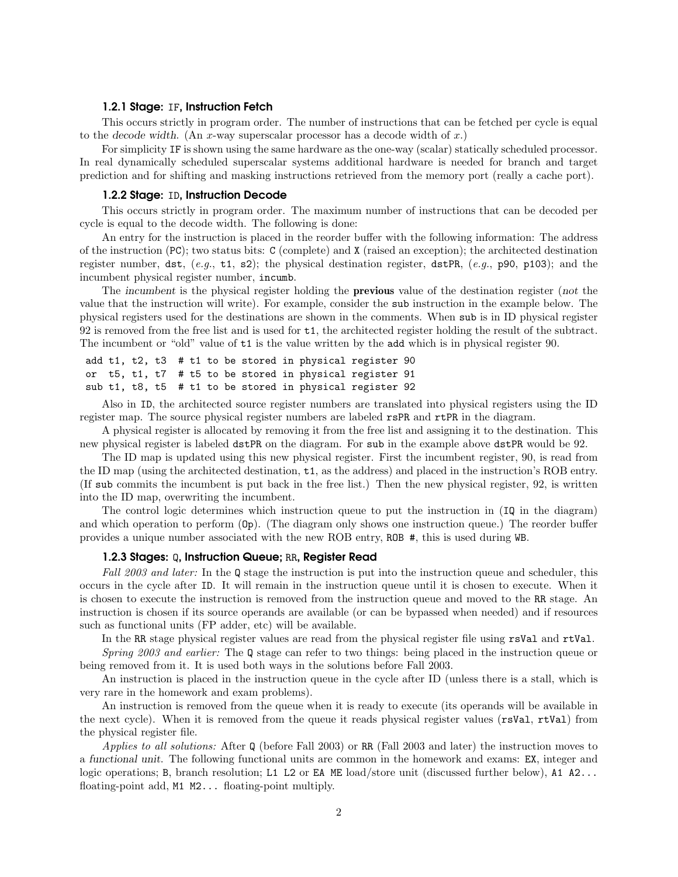#### 1.2.1 Stage: IF, Instruction Fetch

This occurs strictly in program order. The number of instructions that can be fetched per cycle is equal to the decode width. (An x-way superscalar processor has a decode width of  $x$ .)

For simplicity IF is shown using the same hardware as the one-way (scalar) statically scheduled processor. In real dynamically scheduled superscalar systems additional hardware is needed for branch and target prediction and for shifting and masking instructions retrieved from the memory port (really a cache port).

#### 1.2.2 Stage: ID, Instruction Decode

This occurs strictly in program order. The maximum number of instructions that can be decoded per cycle is equal to the decode width. The following is done:

An entry for the instruction is placed in the reorder buffer with the following information: The address of the instruction (PC); two status bits: C (complete) and X (raised an exception); the architected destination register number, dst, (*e.g.*, t1, s2); the physical destination register, dstPR, (*e.g.*, p90, p103); and the incumbent physical register number, incumb.

The incumbent is the physical register holding the **previous** value of the destination register (not the value that the instruction will write). For example, consider the sub instruction in the example below. The physical registers used for the destinations are shown in the comments. When sub is in ID physical register 92 is removed from the free list and is used for t1, the architected register holding the result of the subtract. The incumbent or "old" value of t1 is the value written by the add which is in physical register 90.

```
add t1, t2, t3 # t1 to be stored in physical register 90
or t5, t1, t7 # t5 to be stored in physical register 91
sub t1, t8, t5 # t1 to be stored in physical register 92
```
Also in ID, the architected source register numbers are translated into physical registers using the ID register map. The source physical register numbers are labeled rsPR and rtPR in the diagram.

A physical register is allocated by removing it from the free list and assigning it to the destination. This new physical register is labeled dstPR on the diagram. For sub in the example above dstPR would be 92.

The ID map is updated using this new physical register. First the incumbent register, 90, is read from the ID map (using the architected destination, t1, as the address) and placed in the instruction's ROB entry. (If sub commits the incumbent is put back in the free list.) Then the new physical register, 92, is written into the ID map, overwriting the incumbent.

The control logic determines which instruction queue to put the instruction in (IQ in the diagram) and which operation to perform (Op). (The diagram only shows one instruction queue.) The reorder buffer provides a unique number associated with the new ROB entry, ROB #, this is used during WB.

#### 1.2.3 Stages: Q, Instruction Queue; RR, Register Read

*Fall 2003 and later:* In the Q stage the instruction is put into the instruction queue and scheduler, this occurs in the cycle after ID. It will remain in the instruction queue until it is chosen to execute. When it is chosen to execute the instruction is removed from the instruction queue and moved to the RR stage. An instruction is chosen if its source operands are available (or can be bypassed when needed) and if resources such as functional units (FP adder, etc) will be available.

In the RR stage physical register values are read from the physical register file using rsVal and rtVal. *Spring 2003 and earlier:* The Q stage can refer to two things: being placed in the instruction queue or

being removed from it. It is used both ways in the solutions before Fall 2003. An instruction is placed in the instruction queue in the cycle after ID (unless there is a stall, which is

very rare in the homework and exam problems).

An instruction is removed from the queue when it is ready to execute (its operands will be available in the next cycle). When it is removed from the queue it reads physical register values (rsVal, rtVal) from the physical register file.

*Applies to all solutions:* After Q (before Fall 2003) or RR (Fall 2003 and later) the instruction moves to a functional unit. The following functional units are common in the homework and exams: EX, integer and logic operations; B, branch resolution; L1 L2 or EA ME load/store unit (discussed further below), A1 A2... floating-point add, M1 M2... floating-point multiply.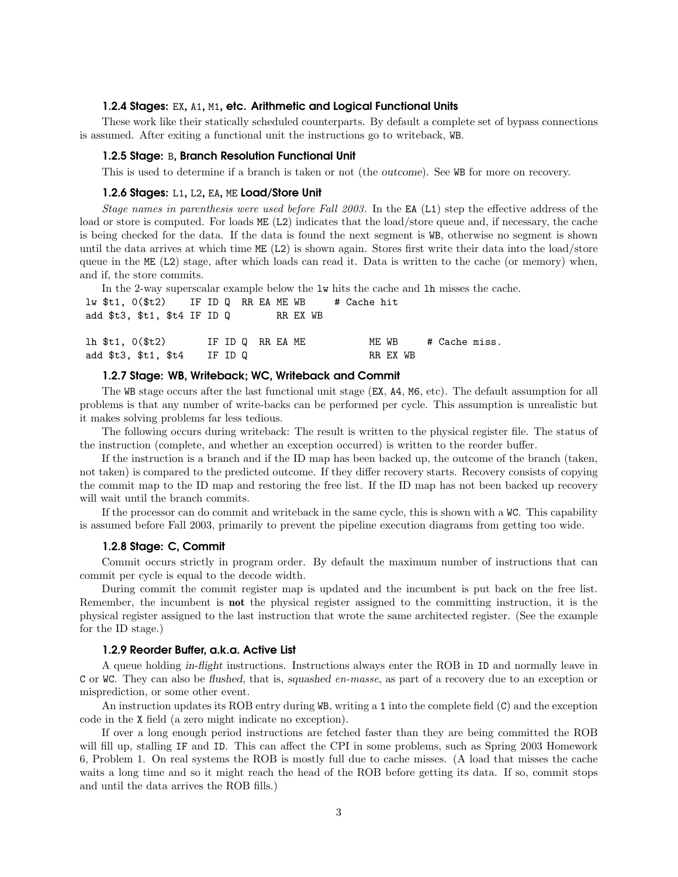## 1.2.4 Stages: EX, A1, M1, etc. Arithmetic and Logical Functional Units

These work like their statically scheduled counterparts. By default a complete set of bypass connections is assumed. After exiting a functional unit the instructions go to writeback, WB.

#### 1.2.5 Stage: B, Branch Resolution Functional Unit

This is used to determine if a branch is taken or not (the outcome). See WB for more on recovery.

#### 1.2.6 Stages: L1, L2, EA, ME Load/Store Unit

*Stage names in parenthesis were used before Fall 2003.* In the EA (L1) step the effective address of the load or store is computed. For loads ME (L2) indicates that the load/store queue and, if necessary, the cache is being checked for the data. If the data is found the next segment is WB, otherwise no segment is shown until the data arrives at which time ME (L2) is shown again. Stores first write their data into the load/store queue in the ME (L2) stage, after which loads can read it. Data is written to the cache (or memory) when, and if, the store commits.

|  | In the 2-way superscalar example below the 1w hits the cache and 1h misses the cache. |  |         |  |                  |  |  |                   |  |               |  |
|--|---------------------------------------------------------------------------------------|--|---------|--|------------------|--|--|-------------------|--|---------------|--|
|  | $1w$ \$t1, $0$ (\$t2) IF ID Q RR EA ME WB $\#$ Cache hit                              |  |         |  |                  |  |  |                   |  |               |  |
|  | add $t3$ , $t1$ , $t4$ IF ID Q RR EX WB                                               |  |         |  |                  |  |  |                   |  |               |  |
|  | lh \$t1, 0(\$t2)<br>add \$t3, \$t1, \$t4                                              |  | IF ID Q |  | IF ID Q RR EA ME |  |  | ME WB<br>RR EX WB |  | # Cache miss. |  |

#### 1.2.7 Stage: WB, Writeback; WC, Writeback and Commit

The WB stage occurs after the last functional unit stage (EX, A4, M6, etc). The default assumption for all problems is that any number of write-backs can be performed per cycle. This assumption is unrealistic but it makes solving problems far less tedious.

The following occurs during writeback: The result is written to the physical register file. The status of the instruction (complete, and whether an exception occurred) is written to the reorder buffer.

If the instruction is a branch and if the ID map has been backed up, the outcome of the branch (taken, not taken) is compared to the predicted outcome. If they differ recovery starts. Recovery consists of copying the commit map to the ID map and restoring the free list. If the ID map has not been backed up recovery will wait until the branch commits.

If the processor can do commit and writeback in the same cycle, this is shown with a WC. This capability is assumed before Fall 2003, primarily to prevent the pipeline execution diagrams from getting too wide.

#### 1.2.8 Stage: C, Commit

Commit occurs strictly in program order. By default the maximum number of instructions that can commit per cycle is equal to the decode width.

During commit the commit register map is updated and the incumbent is put back on the free list. Remember, the incumbent is not the physical register assigned to the committing instruction, it is the physical register assigned to the last instruction that wrote the same architected register. (See the example for the ID stage.)

#### 1.2.9 Reorder Buffer, a.k.a. Active List

A queue holding in-flight instructions. Instructions always enter the ROB in ID and normally leave in C or WC. They can also be flushed, that is, squashed *en-masse*, as part of a recovery due to an exception or misprediction, or some other event.

An instruction updates its ROB entry during WB, writing a 1 into the complete field (C) and the exception code in the X field (a zero might indicate no exception).

If over a long enough period instructions are fetched faster than they are being committed the ROB will fill up, stalling IF and ID. This can affect the CPI in some problems, such as Spring 2003 Homework 6, Problem 1. On real systems the ROB is mostly full due to cache misses. (A load that misses the cache waits a long time and so it might reach the head of the ROB before getting its data. If so, commit stops and until the data arrives the ROB fills.)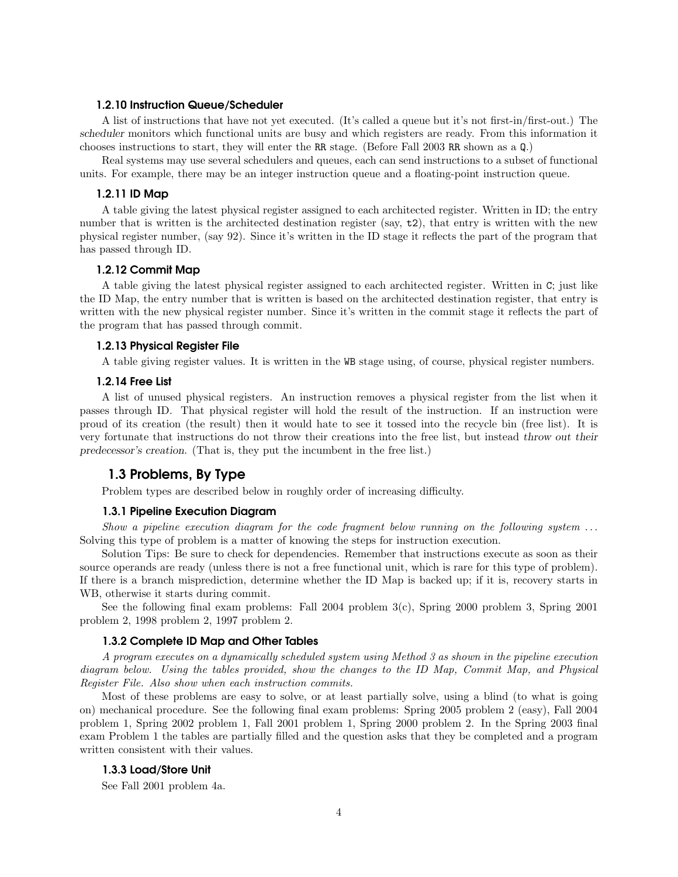#### 1.2.10 Instruction Queue/Scheduler

A list of instructions that have not yet executed. (It's called a queue but it's not first-in/first-out.) The scheduler monitors which functional units are busy and which registers are ready. From this information it chooses instructions to start, they will enter the RR stage. (Before Fall 2003 RR shown as a Q.)

Real systems may use several schedulers and queues, each can send instructions to a subset of functional units. For example, there may be an integer instruction queue and a floating-point instruction queue.

### 1.2.11 ID Map

A table giving the latest physical register assigned to each architected register. Written in ID; the entry number that is written is the architected destination register (say, t2), that entry is written with the new physical register number, (say 92). Since it's written in the ID stage it reflects the part of the program that has passed through ID.

## 1.2.12 Commit Map

A table giving the latest physical register assigned to each architected register. Written in C; just like the ID Map, the entry number that is written is based on the architected destination register, that entry is written with the new physical register number. Since it's written in the commit stage it reflects the part of the program that has passed through commit.

## 1.2.13 Physical Register File

A table giving register values. It is written in the WB stage using, of course, physical register numbers.

#### 1.2.14 Free List

A list of unused physical registers. An instruction removes a physical register from the list when it passes through ID. That physical register will hold the result of the instruction. If an instruction were proud of its creation (the result) then it would hate to see it tossed into the recycle bin (free list). It is very fortunate that instructions do not throw their creations into the free list, but instead throw out their predecessor's creation. (That is, they put the incumbent in the free list.)

# 1.3 Problems, By Type

Problem types are described below in roughly order of increasing difficulty.

#### 1.3.1 Pipeline Execution Diagram

*Show a pipeline execution diagram for the code fragment below running on the following system* ... Solving this type of problem is a matter of knowing the steps for instruction execution.

Solution Tips: Be sure to check for dependencies. Remember that instructions execute as soon as their source operands are ready (unless there is not a free functional unit, which is rare for this type of problem). If there is a branch misprediction, determine whether the ID Map is backed up; if it is, recovery starts in WB, otherwise it starts during commit.

See the following final exam problems: Fall 2004 problem 3(c), Spring 2000 problem 3, Spring 2001 problem 2, 1998 problem 2, 1997 problem 2.

#### 1.3.2 Complete ID Map and Other Tables

*A program executes on a dynamically scheduled system using Method 3 as shown in the pipeline execution diagram below. Using the tables provided, show the changes to the ID Map, Commit Map, and Physical Register File. Also show when each instruction commits.*

Most of these problems are easy to solve, or at least partially solve, using a blind (to what is going on) mechanical procedure. See the following final exam problems: Spring 2005 problem 2 (easy), Fall 2004 problem 1, Spring 2002 problem 1, Fall 2001 problem 1, Spring 2000 problem 2. In the Spring 2003 final exam Problem 1 the tables are partially filled and the question asks that they be completed and a program written consistent with their values.

### 1.3.3 Load/Store Unit

See Fall 2001 problem 4a.